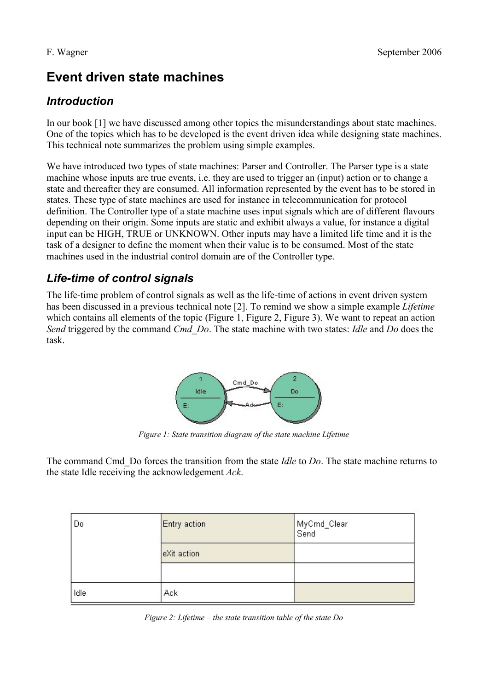# **Event driven state machines**

## *Introduction*

In our book [1] we have discussed among other topics the misunderstandings about state machines. One of the topics which has to be developed is the event driven idea while designing state machines. This technical note summarizes the problem using simple examples.

We have introduced two types of state machines: Parser and Controller. The Parser type is a state machine whose inputs are true events, i.e. they are used to trigger an (input) action or to change a state and thereafter they are consumed. All information represented by the event has to be stored in states. These type of state machines are used for instance in telecommunication for protocol definition. The Controller type of a state machine uses input signals which are of different flavours depending on their origin. Some inputs are static and exhibit always a value, for instance a digital input can be HIGH, TRUE or UNKNOWN. Other inputs may have a limited life time and it is the task of a designer to define the moment when their value is to be consumed. Most of the state machines used in the industrial control domain are of the Controller type.

# *Life-time of control signals*

The life-time problem of control signals as well as the life-time of actions in event driven system has been discussed in a previous technical note [2]. To remind we show a simple example *Lifetime* which contains all elements of the topic [\(Figure 1,](#page-0-0) [Figure 2,](#page-0-1) [Figure 3\)](#page-1-0). We want to repeat an action *Send* triggered by the command *Cmd\_Do*. The state machine with two states: *Idle* and *Do* does the task.



<span id="page-0-0"></span>*Figure 1: State transition diagram of the state machine Lifetime*

The command Cmd\_Do forces the transition from the state *Idle* to *Do*. The state machine returns to the state Idle receiving the acknowledgement *Ack*.

| Do   | Entry action | MyCmd_Clear<br>Send |
|------|--------------|---------------------|
|      | eXit action  |                     |
|      |              |                     |
| Idle | Ack          |                     |

<span id="page-0-1"></span>*Figure 2: Lifetime – the state transition table of the state Do*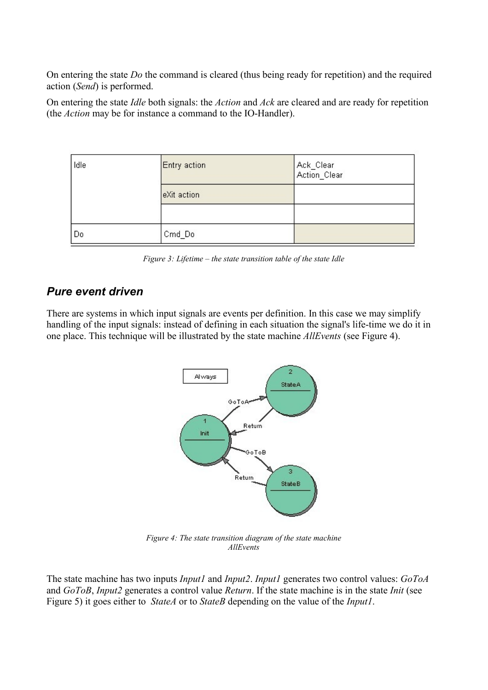On entering the state *Do* the command is cleared (thus being ready for repetition) and the required action (*Send*) is performed.

On entering the state *Idle* both signals: the *Action* and *Ack* are cleared and are ready for repetition (the *Action* may be for instance a command to the IO-Handler).

| Idle | Entry action | Ack_Clear<br>Action_Clear |
|------|--------------|---------------------------|
|      | eXit action  |                           |
|      |              |                           |
| Do   | Cmd_Do       |                           |

<span id="page-1-0"></span>*Figure 3: Lifetime – the state transition table of the state Idle*

### *Pure event driven*

There are systems in which input signals are events per definition. In this case we may simplify handling of the input signals: instead of defining in each situation the signal's life-time we do it in one place. This technique will be illustrated by the state machine *AllEvents* (see [Figure 4\)](#page-1-1).



<span id="page-1-1"></span>*Figure 4: The state transition diagram of the state machine AllEvents*

The state machine has two inputs *Input1* and *Input2*. *Input1* generates two control values: *GoToA* and *GoToB*, *Input2* generates a control value *Return*. If the state machine is in the state *Init* (see [Figure 5\)](#page-2-0) it goes either to *StateA* or to *StateB* depending on the value of the *Input1*.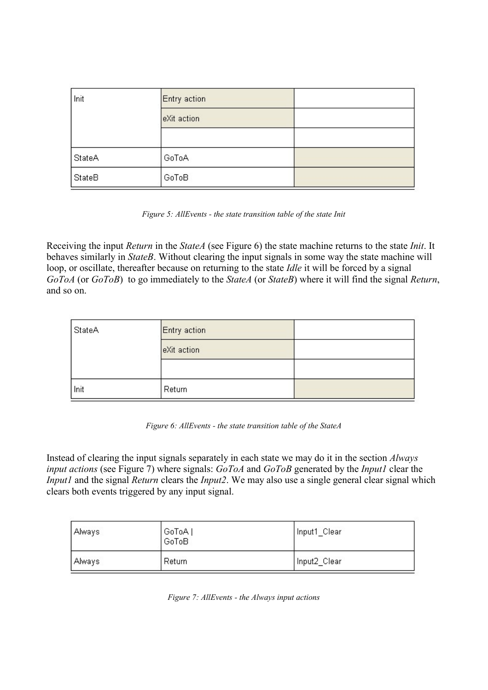| Init   | Entry action |  |
|--------|--------------|--|
|        | eXit action  |  |
|        |              |  |
| StateA | GoToA        |  |
| StateB | GoToB        |  |

<span id="page-2-0"></span>*Figure 5: AllEvents - the state transition table of the state Init*

Receiving the input *Return* in the *StateA* (see [Figure 6\)](#page-2-2) the state machine returns to the state *Init*. It behaves similarly in *StateB*. Without clearing the input signals in some way the state machine will loop, or oscillate, thereafter because on returning to the state *Idle* it will be forced by a signal *GoToA* (or *GoToB*) to go immediately to the *StateA* (or *StateB*) where it will find the signal *Return*, and so on.

| StateA | Entry action |  |
|--------|--------------|--|
|        | eXit action  |  |
|        |              |  |
| Init   | Return       |  |

<span id="page-2-2"></span>

|  | Figure 6: AllEvents - the state transition table of the StateA |  |
|--|----------------------------------------------------------------|--|
|--|----------------------------------------------------------------|--|

Instead of clearing the input signals separately in each state we may do it in the section *Always input actions* (see [Figure 7\)](#page-2-1) where signals: *GoToA* and *GoToB* generated by the *Input1* clear the *Input1* and the signal *Return* clears the *Input2*. We may also use a single general clear signal which clears both events triggered by any input signal.

| Always | GoToA  <br>GoToB | Input1 Clear |
|--------|------------------|--------------|
| Always | Return           | Input2 Clear |

<span id="page-2-1"></span>*Figure 7: AllEvents - the Always input actions*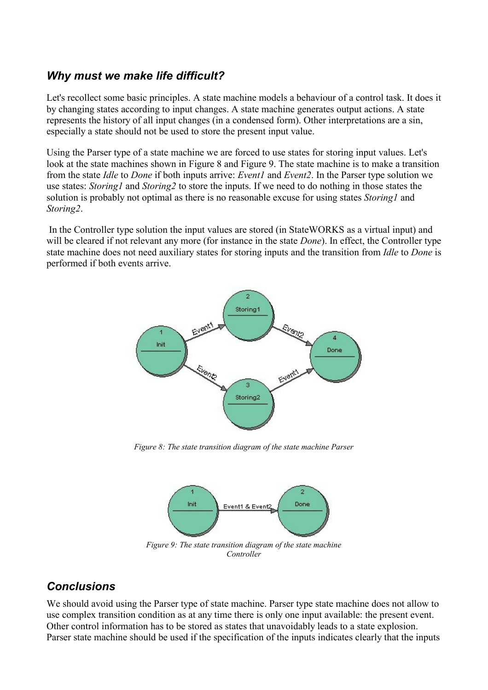#### *Why must we make life difficult?*

Let's recollect some basic principles. A state machine models a behaviour of a control task. It does it by changing states according to input changes. A state machine generates output actions. A state represents the history of all input changes (in a condensed form). Other interpretations are a sin, especially a state should not be used to store the present input value.

Using the Parser type of a state machine we are forced to use states for storing input values. Let's look at the state machines shown in [Figure 8](#page-3-1) and [Figure 9.](#page-3-0) The state machine is to make a transition from the state *Idle* to *Done* if both inputs arrive: *Event1* and *Event2*. In the Parser type solution we use states: *Storing1* and *Storing2* to store the inputs. If we need to do nothing in those states the solution is probably not optimal as there is no reasonable excuse for using states *Storing1* and *Storing2*.

 In the Controller type solution the input values are stored (in StateWORKS as a virtual input) and will be cleared if not relevant any more (for instance in the state *Done*). In effect, the Controller type state machine does not need auxiliary states for storing inputs and the transition from *Idle* to *Done* is performed if both events arrive.



<span id="page-3-1"></span>*Figure 8: The state transition diagram of the state machine Parser*

<span id="page-3-0"></span>

#### *Conclusions*

We should avoid using the Parser type of state machine. Parser type state machine does not allow to use complex transition condition as at any time there is only one input available: the present event. Other control information has to be stored as states that unavoidably leads to a state explosion. Parser state machine should be used if the specification of the inputs indicates clearly that the inputs